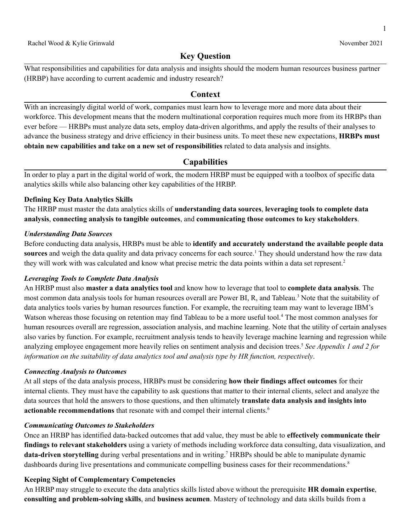1

# **Key Question**

 What responsibilities and capabilities for data analysis and insights should the modern human resources business partner (HRBP) have according to current academic and industry research?

# **Context**

 With an increasingly digital world of work, companies must learn how to leverage more and more data about their workforce. This development means that the modern multinational corporation requires much more from its HRBPs than ever before — HRBPs must analyze data sets, employ data-driven algorithms, and apply the results of their analyses to advance the business strategy and drive efficiency in their business units. To meet these new expectations, **HRBPs must obtain new capabilities and take on a new set of responsibilities** related to data analysis and insights.

# **Capabilities**

 In order to play a part in the digital world of work, the modern HRBP must be equipped with a toolbox of specific data analytics skills while also balancing other key capabilities of the HRBP.

### **Defining Key Data Analytics Skills**

 The HRBP must master the data analytics skills of **understanding data sources**, **leveraging tools to complete data analysis**, **connecting analysis to tangible outcomes**, and **communicating those outcomes to key stakeholders**.

#### *Understanding Data Sources*

 Before conducting data analysis, HRBPs must be able to **identify and accurately understand the available people data** sources and weigh the data quality and data privacy concerns for each source.<sup>1</sup> They should understand how the raw data they will work with was calculated and know what precise metric the data points within a data set represent.<sup>2</sup>

### *Leveraging Tools to Complete Data Analysis*

 An HRBP must also **master a data analytics tool** and know how to leverage that tool to **complete data analysis**. The most common data analysis tools for human resources overall are Power BI, R, and Tableau.<sup>3</sup> Note that the suitability of data analytics tools varies by human resources function. For example, the recruiting team may want to leverage IBM's Watson whereas those focusing on retention may find Tableau to be a more useful tool.<sup>4</sup> The most common analyses for human resources overall are regression, association analysis, and machine learning. Note that the utility of certain analyses also varies by function. For example, recruitment analysis tends to heavily leverage machine learning and regression while analyzing employee engagement more heavily relies on sentiment analysis and decision trees.5 *See Appendix 1 and 2 for information on the suitability of data analytics tool and analysis type by HR function, respectively*.

#### *Connecting Analysis to Outcomes*

 At all steps of the data analysis process, HRBPs must be considering **how their findings affect outcomes** for their internal clients. They must have the capability to ask questions that matter to their internal clients, select and analyze the data sources that hold the answers to those questions, and then ultimately **translate data analysis and insights into actionable recommendations** that resonate with and compel their internal clients.6

### *Communicating Outcomes to Stakeholders*

 Once an HRBP has identified data-backed outcomes that add value, they must be able to **effectively communicate their findings to relevant stakeholders** using a variety of methods including workforce data consulting, data visualization, and **data-driven storytelling** during verbal presentations and in writing.7 HRBPs should be able to manipulate dynamic dashboards during live presentations and communicate compelling business cases for their recommendations.<sup>8</sup>

### **Keeping Sight of Complementary Competencies**

 An HRBP may struggle to execute the data analytics skills listed above without the prerequisite **HR domain expertise**,  **consulting and problem-solving skills**, and **business acumen**. Mastery of technology and data skills builds from a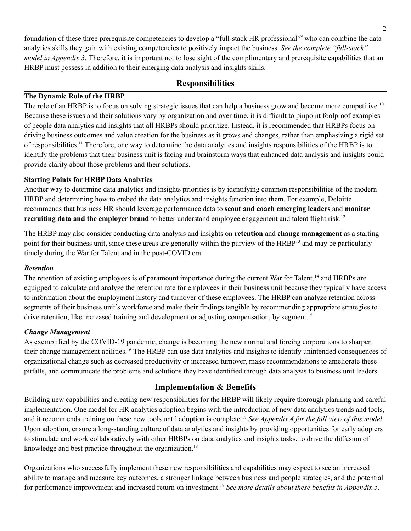foundation of these three prerequisite competencies to develop a "full-stack HR professional"9 who can combine the data analytics skills they gain with existing competencies to positively impact the business. *See the complete "full-stack" model in Appendix* 3. Therefore, it is important not to lose sight of the complimentary and prerequisite capabilities that an HRBP must possess in addition to their emerging data analysis and insights skills.

# **Responsibilities**

### **The Dynamic Role of the HRBP**

The role of an HRBP is to focus on solving strategic issues that can help a business grow and become more competitive.<sup>10</sup> Because these issues and their solutions vary by organization and over time, it is difficult to pinpoint foolproof examples of people data analytics and insights that all HRBPs should prioritize. Instead, it is recommended that HRBPs focus on driving business outcomes and value creation for the business as it grows and changes, rather than emphasizing a rigid set of responsibilities.<sup>11</sup> Therefore, one way to determine the data analytics and insights responsibilities of the HRBP is to identify the problems that their business unit is facing and brainstorm ways that enhanced data analysis and insights could provide clarity about those problems and their solutions.

### **Starting Points for HRBP Data Analytics**

 Another way to determine data analytics and insights priorities is by identifying common responsibilities of the modern HRBP and determining how to embed the data analytics and insights function into them. For example, Deloitte recommends that business HR should leverage performance data to **scout and coach emerging leaders** and **monitor recruiting data and the employer brand** to better understand employee engagement and talent flight risk.12

 The HRBP may also consider conducting data analysis and insights on **retention** and **change management** as a starting point for their business unit, since these areas are generally within the purview of the HRBP<sup>13</sup> and may be particularly timely during the War for Talent and in the post-COVID era.

#### *Retention*

The retention of existing employees is of paramount importance during the current War for Talent,<sup>14</sup> and HRBPs are equipped to calculate and analyze the retention rate for employees in their business unit because they typically have access to information about the employment history and turnover of these employees. The HRBP can analyze retention across segments of their business unit's workforce and make their findings tangible by recommending appropriate strategies to drive retention, like increased training and development or adjusting compensation, by segment.<sup>15</sup>

#### *Change Management*

 As exemplified by the COVID-19 pandemic, change is becoming the new normal and forcing corporations to sharpen their change management abilities.<sup>16</sup> The HRBP can use data analytics and insights to identify unintended consequences of organizational change such as decreased productivity or increased turnover, make recommendations to ameliorate these pitfalls, and communicate the problems and solutions they have identified through data analysis to business unit leaders.

# **Implementation & Benefits**

 Building new capabilities and creating new responsibilities for the HRBP will likely require thorough planning and careful implementation. One model for HR analytics adoption begins with the introduction of new data analytics trends and tools, and it recommends training on these new tools until adoption is [complete.17](https://complete.17) *See Appendix 4 for the full view of this model*. Upon adoption, ensure a long-standing culture of data analytics and insights by providing opportunities for early adopters to stimulate and work collaboratively with other HRBPs on data analytics and insights tasks, to drive the diffusion of knowledge and best practice throughout the organization.<sup>18</sup>

 Organizations who successfully implement these new responsibilities and capabilities may expect to see an increased ability to manage and measure key outcomes, a stronger linkage between business and people strategies, and the potential for performance improvement and increased return on [investment.19](https://investment.19) *See more details about these benefits in Appendix 5*.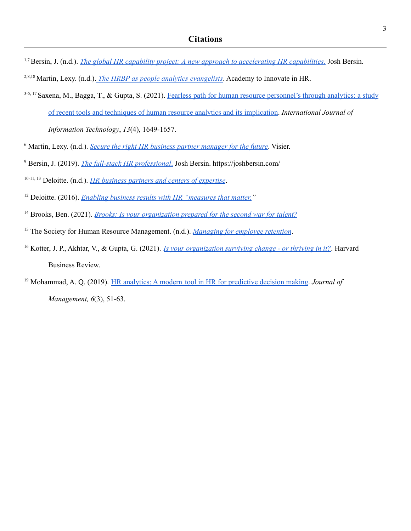- 1,7Bersin, J. (n.d.). *The global HR capability project: A new approach to [accelerating](https://joshbersin.com/wp-content/uploads/2021/02/Accelerating_Capabilities_HR_v3.pdf) HR capabilities*. Josh Bersin.
- 2,8,18 Martin, Lexy. (n.d.). *The HRBP as people analytics [evangelists](https://www.aihr.com/blog/hr-business-partner-as-people-analytics-evangelists/)*. Academy to Innovate in HR.
- 3-5, 17 Saxena, M., Bagga, T., & Gupta, S. (2021). Fearless path for human resource [personnel's](https://doi.org/10.1007/s41870-021-00677-z) through analytics: a study

of recent tools and techniques of human resource analytics and its [implication](https://doi.org/10.1007/s41870-021-00677-z). *International Journal of*

*Information Technology*, *13*(4), 1649-1657.

- <sup>6</sup> Martin, Lexy. (n.d.). *Secure the right HR business partner [manager](https://www.visier.com/blog/leadership/secure-the-right-hr-business-partner-manager-for-the-future/) for the future*. Visier.
- <sup>9</sup> Bersin, J. (2019). *The full-stack HR [professional](https://joshbersin.com/%20%202019/11/the-full-stack-hr-professional/)*. Josh Bersin. <https://joshbersin.com>/

 10-11, <sup>13</sup> Deloitte. (n.d.). *HR business partners and centers of [expertise](https://www2.deloitte.com/global/en/pages/human-capital/articles/hr-business-partners-and-centers-of-expertise.html)*.

- <sup>12</sup> Deloitte. (2016). *Enabling business results with HR ["measures](https://www2.deloitte.com/content/dam/Deloitte/us/Documents/human-capital/us-hc-enabling-business-results-with-hr-measures-that-matter.pdf) that matter."*
- <sup>14</sup> Brooks, Ben. (2021). *Brooks: Is your [organization](https://hrexecutive.com/brooks-is-your-organization-prepared-for-the-second-war-for-talent/) prepared for the second war for talent?*
- <sup>15</sup> The Society for Human Resource Management. (n.d.). *[Managing](https://www.shrm.org/resourcesandtools/tools-and-samples/toolkits/pages/managingforemployeeretention.aspx) for employee retention*.
- <sup>16</sup> Kotter, J. P., Akhtar, V., & Gupta, G. (2021). *Is your [organization](https://hbr.org/2021/08/is-your-organization-surviving-change-or-thriving-in-it) surviving change or thriving in it?*. Harvard Business Review.
- <sup>19</sup> Mohammad, A. Q. (2019). HR analytics: A modern tool in HR for [predictive](https://papers.ssrn.com/sol3/papers.cfm?abstract_id=3525328) decision making. *Journal of Management, 6*(3), 51-63.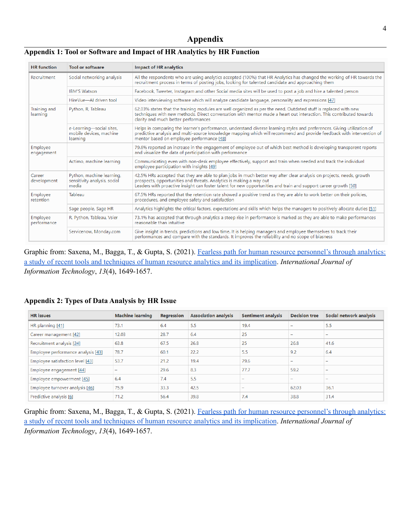# **Appendix**

#### **Appendix 1: Tool or Software and Impact of HR Analytics by HR Function**

| <b>HR</b> function       | <b>Tool or software</b>                                            | <b>Impact of HR analytics</b>                                                                                                                                                                                                                                                                                   |  |  |
|--------------------------|--------------------------------------------------------------------|-----------------------------------------------------------------------------------------------------------------------------------------------------------------------------------------------------------------------------------------------------------------------------------------------------------------|--|--|
| Recruitment              | Social networking analysis                                         | All the respondents who are using analytics accepted (100%) that HR Analytics has changed the working of HR towards the<br>recruitment process in terms of posting jobs, looking for talented candidate and approaching them                                                                                    |  |  |
|                          | <b>IBM'S Watson</b>                                                | Facebook, Tweeter, Instagram and other Social media sites will be used to post a job and hire a talented person                                                                                                                                                                                                 |  |  |
|                          | HireVue-AI driven tool                                             | Video interviewing software which will analyze candidate language, personality and expressions [47]                                                                                                                                                                                                             |  |  |
| Training and<br>learning | Python, R, Tableau                                                 | 62.03% states that the training modules are well organized as per the need. Outdated stuff is replaced with new<br>techniques with new methods. Direct conversation with mentor made a heart out interaction. This contributed towards<br>clarity and much better performances                                  |  |  |
|                          | e-Learning-social sites,<br>mobile devices, machine<br>learning    | Helps in comparing the learner's performance, understand diverse learning styles and preferences. Giving utilization of<br>predictive analysis and multi-source knowledge mapping which will recommend and provide feedback with intervention of<br>mentor based on employee performance [48]                   |  |  |
| Employee<br>engagement   |                                                                    | 79.6% reported an increase in the engagement of employee out of which best method is developing transparent reports<br>and visualize the data of participation with performance                                                                                                                                 |  |  |
|                          | Actimo, machine learning                                           | Communicating even with non-desk employee effectively, support and train when needed and track the individual<br>employee participation with insights [49]                                                                                                                                                      |  |  |
| Career<br>development    | Python, machine learning,<br>sensitivity analysis, social<br>media | 42.5% HRs accepted that they are able to plan jobs in much better way after clear analysis on projects, needs, growth<br>prospects, opportunities and threats. Analytics is making a way out<br>Leaders with proactive insight can foster talent for new opportunities and train and support career growth [50] |  |  |
| Employee<br>retention    | Tableau                                                            | 67.5% HRs reported that the retention rate showed a positive trend as they are able to work better on their policies,<br>procedures, and employee safety and satisfaction                                                                                                                                       |  |  |
|                          | Sage people, Sage HR                                               | Analytics highlights the critical factors, expectations and skills which helps the managers to positively allocate duties [51]                                                                                                                                                                                  |  |  |
| Employee<br>performance  | R, Python, Tableau, Vsier                                          | 73.1% has accepted that through analytics a steep rise in performance is marked as they are able to make performances<br>reasonable than intuitive                                                                                                                                                              |  |  |
|                          | Servicenow, Monday.com                                             | Give insight in trends, predictions and low time. It is helping managers and employee themselves to track their<br>performances and compare with the standards. It improves the reliability and no scope of biasness                                                                                            |  |  |

Graphic from: Saxena, M., Bagga, T., & Gupta, S. (2021). Fearless path for human resource [personnel's](https://doi.org/10.1007/s41870-021-00677-z) through analytics: a study of recent tools and techniques of human resource analytics and its [implication](https://doi.org/10.1007/s41870-021-00677-z). *International Journal of Information Technology*, *13*(4), 1649-1657.

#### **Appendix 2: Types of Data Analysis by HR Issue**

| <b>HR</b> issues                   | <b>Machine learning</b> | Regression | <b>Association analysis</b> | <b>Sentiment analysis</b> | <b>Decision tree</b>     | Social network analysis |
|------------------------------------|-------------------------|------------|-----------------------------|---------------------------|--------------------------|-------------------------|
| HR planning [41]                   | 73.1                    | 6.4        | 5.5                         | 19.4                      | $\overline{\phantom{0}}$ | 5.5                     |
| Career management [42]             | 12.03                   | 28.7       | 6.4                         | 25                        | $\overline{\phantom{a}}$ |                         |
| Recruitment analysis [24]          | 63.8                    | 67.5       | 26.8                        | 25                        | 26.8                     | 41.6                    |
| Employee performance analysis [43] | 78.7                    | 60.1       | 22.2                        | 5.5                       | 9.2                      | 6.4                     |
| Employee satisfaction level [43]   | 53.7                    | 21.2       | 19.4                        | 79.6                      | $\overline{\phantom{0}}$ |                         |
| Employee engagement [44]           |                         | 29.6       | 8.3                         | 77.7                      | 59.2                     |                         |
| Employee empowerment [45]          | 6.4                     | 7.4        | 5.5                         |                           | $\overline{\phantom{a}}$ |                         |
| Employee turnover analysis [46]    | 75.9                    | 33.3       | 42.5                        | -                         | 62.03                    | 36.1                    |
| Predictive analysis [6]            | 71.2                    | 56.4       | 39.8                        | 7.4                       | 38.8                     | 31.4                    |

Graphic from: Saxena, M., Bagga, T., & Gupta, S. (2021). Fearless path for human resource [personnel's](https://doi.org/10.1007/s41870-021-00677-z) through analytics: a study of recent tools and techniques of human resource analytics and its [implication](https://doi.org/10.1007/s41870-021-00677-z). *International Journal of Information Technology*, *13*(4), 1649-1657.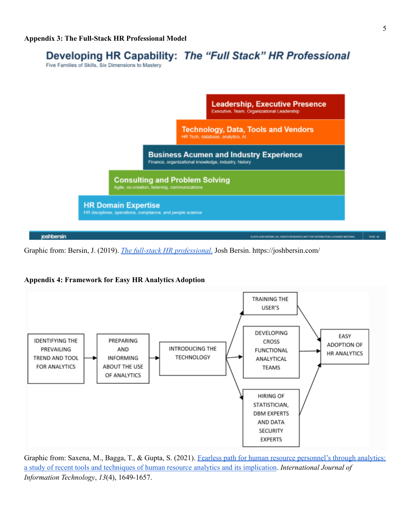# Developing HR Capability: The "Full Stack" HR Professional

Five Families of Skills, Six Dimensions to Mastery



Graphic from: Bersin, J. (2019). *The full-stack HR [professional](https://joshbersin.com/%20%202019/11/the-full-stack-hr-professional/)*. Josh Bersin. [https://joshbersin.com/](https://joshbersin.com)





Graphic from: Saxena, M., Bagga, T., & Gupta, S. (2021). Fearless path for human resource [personnel's](https://doi.org/10.1007/s41870-021-00677-z) through analytics: a study of recent tools and techniques of human resource analytics and its [implication](https://doi.org/10.1007/s41870-021-00677-z). *International Journal of Information Technology*, *13*(4), 1649-1657.